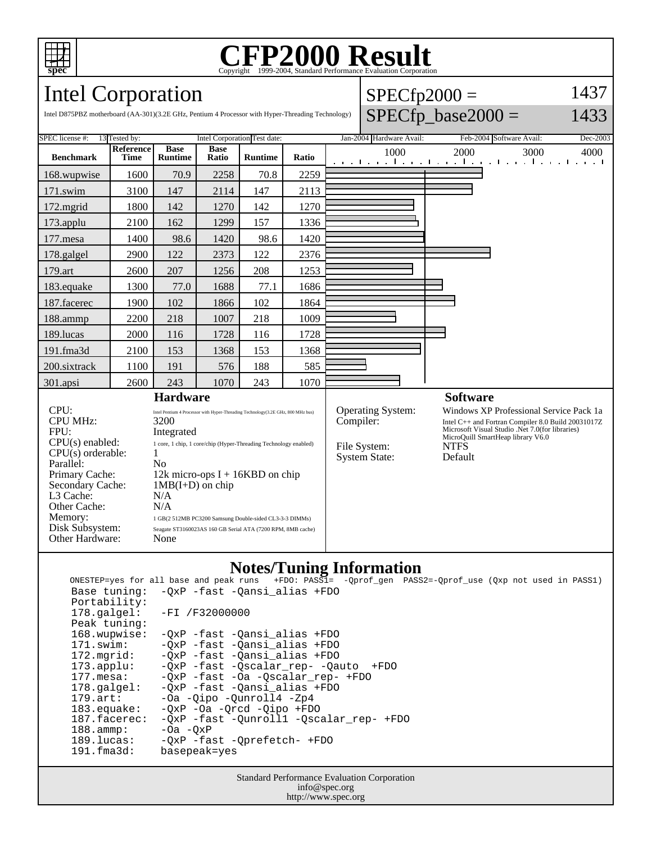

## Copyright ©1999-2004, Standard Performance Evaluation Corporation

 $SPECfp2000 =$ 

1437

Intel Corporation

| SPEC license #:<br><b>Benchmark</b><br>168.wupwise<br>171.swim                                                                                                                                                                                                                                                                                                                                                                                                                                                                                                                                                                                  | 13 Tested by:<br>Reference<br>Time<br>1600<br>3100 | <b>Base</b><br><b>Runtime</b><br>70.9 | <b>Base</b><br>Ratio | Intel Corporation Test date:<br><b>Runtime</b> |           |                                                           | Jan-2004 Hardware Avail:                                                                                                                                                                                                           |      | Feb-2004 Software Avail:                                         | Dec-2003                            |
|-------------------------------------------------------------------------------------------------------------------------------------------------------------------------------------------------------------------------------------------------------------------------------------------------------------------------------------------------------------------------------------------------------------------------------------------------------------------------------------------------------------------------------------------------------------------------------------------------------------------------------------------------|----------------------------------------------------|---------------------------------------|----------------------|------------------------------------------------|-----------|-----------------------------------------------------------|------------------------------------------------------------------------------------------------------------------------------------------------------------------------------------------------------------------------------------|------|------------------------------------------------------------------|-------------------------------------|
|                                                                                                                                                                                                                                                                                                                                                                                                                                                                                                                                                                                                                                                 |                                                    |                                       |                      |                                                |           |                                                           |                                                                                                                                                                                                                                    |      |                                                                  |                                     |
|                                                                                                                                                                                                                                                                                                                                                                                                                                                                                                                                                                                                                                                 |                                                    |                                       |                      |                                                | Ratio     |                                                           | 1000                                                                                                                                                                                                                               | 2000 | 3000<br>المناقص والمتوجبا والمتواطن والمتواطن والمتواطن والمنافر | 4000<br>$\sim$ $\sim$ $\sim$ $\sim$ |
|                                                                                                                                                                                                                                                                                                                                                                                                                                                                                                                                                                                                                                                 |                                                    |                                       | 2258                 | 70.8                                           | 2259      |                                                           |                                                                                                                                                                                                                                    |      |                                                                  |                                     |
|                                                                                                                                                                                                                                                                                                                                                                                                                                                                                                                                                                                                                                                 |                                                    | 147                                   | 2114                 | 147                                            | 2113      |                                                           |                                                                                                                                                                                                                                    |      |                                                                  |                                     |
| $172$ .mgrid                                                                                                                                                                                                                                                                                                                                                                                                                                                                                                                                                                                                                                    | 1800                                               | 142                                   | 1270                 | 142                                            | 1270      |                                                           |                                                                                                                                                                                                                                    |      |                                                                  |                                     |
| 173.applu                                                                                                                                                                                                                                                                                                                                                                                                                                                                                                                                                                                                                                       | 2100                                               | 162                                   | 1299                 | 157                                            | 1336      |                                                           |                                                                                                                                                                                                                                    |      |                                                                  |                                     |
| 177.mesa                                                                                                                                                                                                                                                                                                                                                                                                                                                                                                                                                                                                                                        | 1400                                               | 98.6                                  | 1420                 | 98.6                                           | 1420      |                                                           |                                                                                                                                                                                                                                    |      |                                                                  |                                     |
| 178.galgel                                                                                                                                                                                                                                                                                                                                                                                                                                                                                                                                                                                                                                      | 2900                                               | 122                                   | 2373                 | 122                                            | 2376      |                                                           |                                                                                                                                                                                                                                    |      |                                                                  |                                     |
| 179.art                                                                                                                                                                                                                                                                                                                                                                                                                                                                                                                                                                                                                                         | 2600                                               | 207                                   | 1256                 | 208                                            | 1253      |                                                           |                                                                                                                                                                                                                                    |      |                                                                  |                                     |
| 183.equake                                                                                                                                                                                                                                                                                                                                                                                                                                                                                                                                                                                                                                      | 1300                                               | 77.0                                  | 1688                 | 77.1                                           | 1686      |                                                           |                                                                                                                                                                                                                                    |      |                                                                  |                                     |
| 187.facerec                                                                                                                                                                                                                                                                                                                                                                                                                                                                                                                                                                                                                                     | 1900                                               | 102                                   | 1866                 | 102                                            | 1864      |                                                           |                                                                                                                                                                                                                                    |      |                                                                  |                                     |
| 188.ammp                                                                                                                                                                                                                                                                                                                                                                                                                                                                                                                                                                                                                                        | 2200                                               | 218                                   | 1007                 | 218                                            | 1009      |                                                           |                                                                                                                                                                                                                                    |      |                                                                  |                                     |
| 189.lucas                                                                                                                                                                                                                                                                                                                                                                                                                                                                                                                                                                                                                                       | 2000                                               | 116                                   | 1728                 | 116                                            | 1728      |                                                           |                                                                                                                                                                                                                                    |      |                                                                  |                                     |
| 191.fma3d                                                                                                                                                                                                                                                                                                                                                                                                                                                                                                                                                                                                                                       | 2100                                               | 153                                   | 1368                 | 153                                            | 1368      |                                                           |                                                                                                                                                                                                                                    |      |                                                                  |                                     |
| 200.sixtrack                                                                                                                                                                                                                                                                                                                                                                                                                                                                                                                                                                                                                                    | 1100                                               | 191                                   | 576                  | 188                                            | 585       |                                                           |                                                                                                                                                                                                                                    |      |                                                                  |                                     |
| 301.apsi                                                                                                                                                                                                                                                                                                                                                                                                                                                                                                                                                                                                                                        | 2600                                               | 243                                   | 1070                 | 243                                            | 1070      |                                                           |                                                                                                                                                                                                                                    |      |                                                                  |                                     |
| <b>Hardware</b><br>CPU:<br>Intel Pentium 4 Processor with Hyper-Threading Technology(3.2E GHz, 800 MHz bus)<br><b>CPU MHz:</b><br>3200<br>FPU:<br>Integrated<br>$CPU(s)$ enabled:<br>1 core, 1 chip, 1 core/chip (Hyper-Threading Technology enabled)<br>$CPU(s)$ orderable:<br>1<br>Parallel:<br>N <sub>o</sub><br>Primary Cache:<br>12k micro-ops $I + 16KBD$ on chip<br>Secondary Cache:<br>$1MB(I+D)$ on chip<br>L3 Cache:<br>N/A<br>Other Cache:<br>N/A<br>Memory:<br>1 GB(2 512MB PC3200 Samsung Double-sided CL3-3-3 DIMMs)<br>Disk Subsystem:<br>Seagate ST3160023AS 160 GB Serial ATA (7200 RPM, 8MB cache)<br>Other Hardware:<br>None |                                                    |                                       |                      |                                                | Compiler: | Operating System:<br>File System:<br><b>System State:</b> | <b>Software</b><br>Windows XP Professional Service Pack 1a<br>Intel C++ and Fortran Compiler 8.0 Build 20031017Z<br>Microsoft Visual Studio .Net 7.0(for libraries)<br>MicroQuill SmartHeap library V6.0<br><b>NTFS</b><br>Default |      |                                                                  |                                     |

## **Notes/Tuning Information**

 ONESTEP=yes for all base and peak runs +FDO: PASS1= -Qprof\_gen PASS2=-Qprof\_use (Qxp not used in PASS1) Base tuning: -QxP -fast -Qansi\_alias +FDO Portability:<br>178.galgel: -FI /F32000000 Peak tuning: 168.wupwise: -QxP -fast -Qansi\_alias +FDO 171.swim: -QxP -fast -Qansi\_alias +FDO 172.mgrid: -QxP -fast -Qansi\_alias +FDO 172.mgrid: -QxP -fast -Qansi\_alias +FDO<br>173.applu: -QxP -fast -Qscalar\_rep- -Qauto +FDO 177.mesa: -QxP -fast -Oa -Qscalar\_rep- +FDO 178.galgel: -QxP -fast -Qansi\_alias +FDO 179.art: -Oa -Qipo -Qunroll4 -Zp4<br>183.equake: -QxP -Oa -Qrcd -Qipo +FD 183.equake: - QxP - Oa - Qrcd - Qipo + FDO<br>187.facerec: - QxP - fast - Qunrolll - Qsc 187.facerec: -QxP -fast -Qunroll1 -Qscalar\_rep- +FDO<br>188.ammp: -Oa -QxP 188.ammp: -Oa -QxP 189.lucas: -QxP -fast -Qprefetch- +FDO 191.fma3d: basepeak=yes

> Standard Performance Evaluation Corporation info@spec.org http://www.spec.org